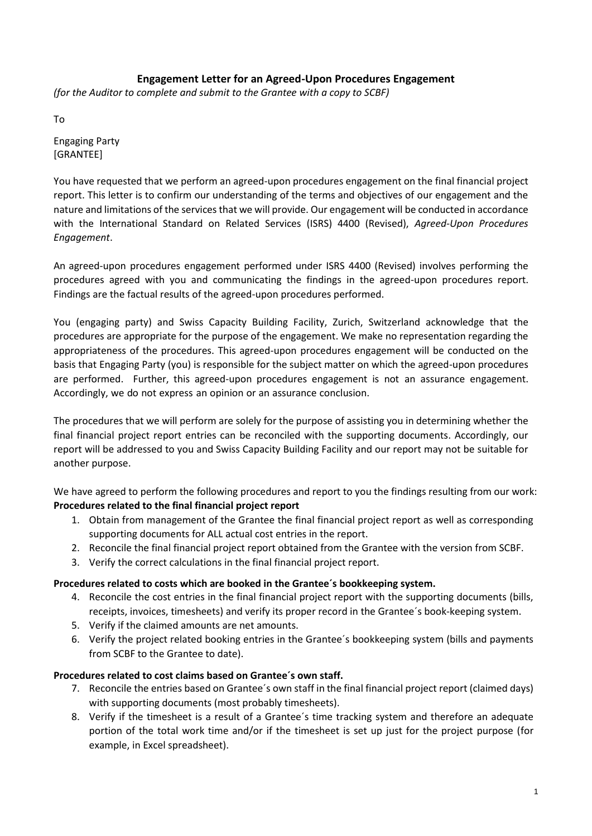# **Engagement Letter for an Agreed-Upon Procedures Engagement**

*(for the Auditor to complete and submit to the Grantee with a copy to SCBF)*

To

Engaging Party [GRANTEE]

You have requested that we perform an agreed-upon procedures engagement on the final financial project report. This letter is to confirm our understanding of the terms and objectives of our engagement and the nature and limitations of the services that we will provide. Our engagement will be conducted in accordance with the International Standard on Related Services (ISRS) 4400 (Revised), *Agreed-Upon Procedures Engagement*.

An agreed-upon procedures engagement performed under ISRS 4400 (Revised) involves performing the procedures agreed with you and communicating the findings in the agreed-upon procedures report. Findings are the factual results of the agreed-upon procedures performed.

You (engaging party) and Swiss Capacity Building Facility, Zurich, Switzerland acknowledge that the procedures are appropriate for the purpose of the engagement. We make no representation regarding the appropriateness of the procedures. This agreed-upon procedures engagement will be conducted on the basis that Engaging Party (you) is responsible for the subject matter on which the agreed-upon procedures are performed. Further, this agreed-upon procedures engagement is not an assurance engagement. Accordingly, we do not express an opinion or an assurance conclusion.

The procedures that we will perform are solely for the purpose of assisting you in determining whether the final financial project report entries can be reconciled with the supporting documents. Accordingly, our report will be addressed to you and Swiss Capacity Building Facility and our report may not be suitable for another purpose.

We have agreed to perform the following procedures and report to you the findings resulting from our work: **Procedures related to the final financial project report**

- 1. Obtain from management of the Grantee the final financial project report as well as corresponding supporting documents for ALL actual cost entries in the report.
- 2. Reconcile the final financial project report obtained from the Grantee with the version from SCBF.
- 3. Verify the correct calculations in the final financial project report.

# **Procedures related to costs which are booked in the Grantee´s bookkeeping system.**

- 4. Reconcile the cost entries in the final financial project report with the supporting documents (bills, receipts, invoices, timesheets) and verify its proper record in the Grantee´s book-keeping system.
- 5. Verify if the claimed amounts are net amounts.
- 6. Verify the project related booking entries in the Grantee´s bookkeeping system (bills and payments from SCBF to the Grantee to date).

# **Procedures related to cost claims based on Grantee´s own staff.**

- 7. Reconcile the entries based on Grantee´s own staff in the final financial project report (claimed days) with supporting documents (most probably timesheets).
- 8. Verify if the timesheet is a result of a Grantee´s time tracking system and therefore an adequate portion of the total work time and/or if the timesheet is set up just for the project purpose (for example, in Excel spreadsheet).